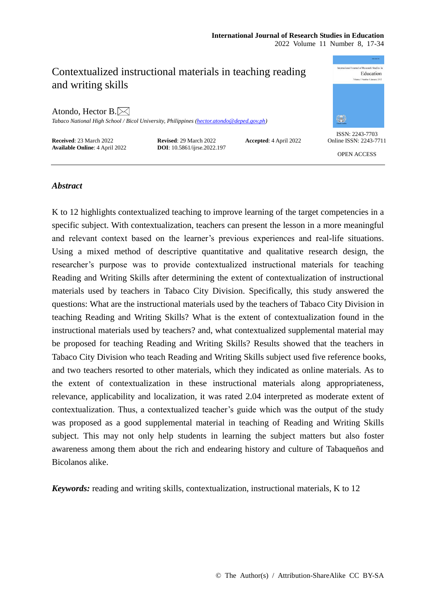# Contextualized instructional materials in teaching reading and writing skills

Atondo, Hector B. $\boxtimes$ 

*Tabaco National High School / Bicol University, Philippines [\(hector.atondo@deped.gov.ph\)](mailto:hector.atondo@deped.gov.ph)*

**Received**: 23 March 2022<br> **Revised**: 29 March 2022<br> **Revised**: 29 March 2022<br> **DOI**: 10.5861/ijrse.2022.197<br> **Accepted**: 4 April 2022 **Available Online**: 4 April 2022



ISSN: 2243-7703 Online ISSN: 2243-7711

OPEN ACCESS

## *Abstract*

K to 12 highlights contextualized teaching to improve learning of the target competencies in a specific subject. With contextualization, teachers can present the lesson in a more meaningful and relevant context based on the learner's previous experiences and real-life situations. Using a mixed method of descriptive quantitative and qualitative research design, the researcher's purpose was to provide contextualized instructional materials for teaching Reading and Writing Skills after determining the extent of contextualization of instructional materials used by teachers in Tabaco City Division. Specifically, this study answered the questions: What are the instructional materials used by the teachers of Tabaco City Division in teaching Reading and Writing Skills? What is the extent of contextualization found in the instructional materials used by teachers? and, what contextualized supplemental material may be proposed for teaching Reading and Writing Skills? Results showed that the teachers in Tabaco City Division who teach Reading and Writing Skills subject used five reference books, and two teachers resorted to other materials, which they indicated as online materials. As to the extent of contextualization in these instructional materials along appropriateness, relevance, applicability and localization, it was rated 2.04 interpreted as moderate extent of contextualization. Thus, a contextualized teacher's guide which was the output of the study was proposed as a good supplemental material in teaching of Reading and Writing Skills subject. This may not only help students in learning the subject matters but also foster awareness among them about the rich and endearing history and culture of Tabaqueños and Bicolanos alike.

*Keywords:* reading and writing skills, contextualization, instructional materials, K to 12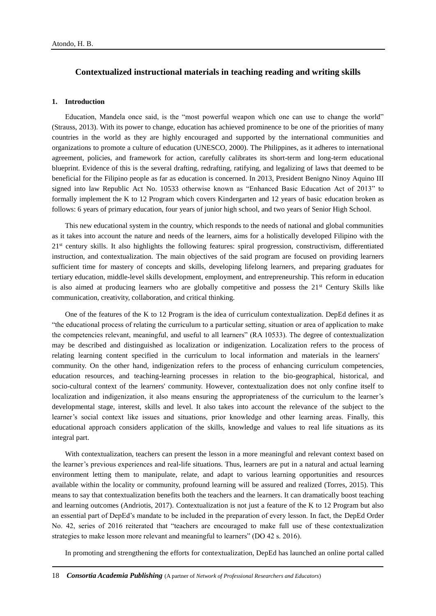## **Contextualized instructional materials in teaching reading and writing skills**

#### **1. Introduction**

Education, Mandela once said, is the "most powerful weapon which one can use to change the world" (Strauss, 2013). With its power to change, education has achieved prominence to be one of the priorities of many countries in the world as they are highly encouraged and supported by the international communities and organizations to promote a culture of education (UNESCO, 2000). The Philippines, as it adheres to international agreement, policies, and framework for action, carefully calibrates its short-term and long-term educational blueprint. Evidence of this is the several drafting, redrafting, ratifying, and legalizing of laws that deemed to be beneficial for the Filipino people as far as education is concerned. In 2013, President Benigno Ninoy Aquino III signed into law Republic Act No. 10533 otherwise known as "Enhanced Basic Education Act of 2013" to formally implement the K to 12 Program which covers Kindergarten and 12 years of basic education broken as follows: 6 years of primary education, four years of junior high school, and two years of Senior High School.

This new educational system in the country, which responds to the needs of national and global communities as it takes into account the nature and needs of the learners, aims for a holistically developed Filipino with the 21st century skills. It also highlights the following features: spiral progression, constructivism, differentiated instruction, and contextualization. The main objectives of the said program are focused on providing learners sufficient time for mastery of concepts and skills, developing lifelong learners, and preparing graduates for tertiary education, middle-level skills development, employment, and entrepreneurship. This reform in education is also aimed at producing learners who are globally competitive and possess the 21<sup>st</sup> Century Skills like communication, creativity, collaboration, and critical thinking.

One of the features of the K to 12 Program is the idea of curriculum contextualization. DepEd defines it as "the educational process of relating the curriculum to a particular setting, situation or area of application to make the competencies relevant, meaningful, and useful to all learners" (RA 10533). The degree of contextualization may be described and distinguished as localization or indigenization. Localization refers to the process of relating learning content specified in the curriculum to local information and materials in the learners' community. On the other hand, indigenization refers to the process of enhancing curriculum competencies, education resources, and teaching-learning processes in relation to the bio-geographical, historical, and socio-cultural context of the learners' community. However, contextualization does not only confine itself to localization and indigenization, it also means ensuring the appropriateness of the curriculum to the learner's developmental stage, interest, skills and level. It also takes into account the relevance of the subject to the learner's social context like issues and situations, prior knowledge and other learning areas. Finally, this educational approach considers application of the skills, knowledge and values to real life situations as its integral part.

With contextualization, teachers can present the lesson in a more meaningful and relevant context based on the learner's previous experiences and real-life situations. Thus, learners are put in a natural and actual learning environment letting them to manipulate, relate, and adapt to various learning opportunities and resources available within the locality or community, profound learning will be assured and realized (Torres, 2015). This means to say that contextualization benefits both the teachers and the learners. It can dramatically boost teaching and learning outcomes (Andriotis, 2017). Contextualization is not just a feature of the K to 12 Program but also an essential part of DepEd's mandate to be included in the preparation of every lesson. In fact, the DepEd Order No. 42, series of 2016 reiterated that "teachers are encouraged to make full use of these contextualization strategies to make lesson more relevant and meaningful to learners" (DO 42 s. 2016).

In promoting and strengthening the efforts for contextualization, DepEd has launched an online portal called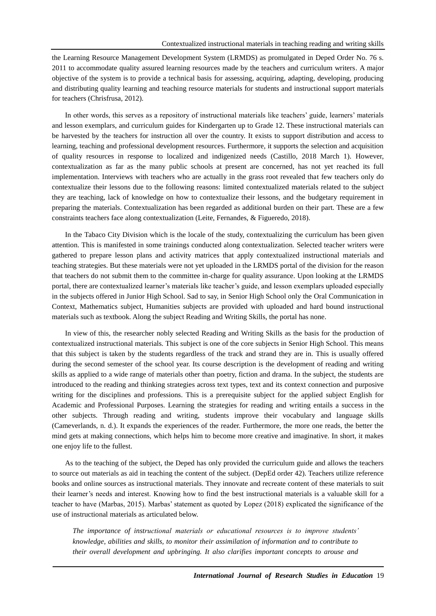the Learning Resource Management Development System (LRMDS) as promulgated in Deped Order No. 76 s. 2011 to accommodate quality assured learning resources made by the teachers and curriculum writers. A major objective of the system is to provide a technical basis for assessing, acquiring, adapting, developing, producing and distributing quality learning and teaching resource materials for students and instructional support materials for teachers (Chrisfrusa, 2012).

In other words, this serves as a repository of instructional materials like teachers' guide, learners' materials and lesson exemplars, and curriculum guides for Kindergarten up to Grade 12. These instructional materials can be harvested by the teachers for instruction all over the country. It exists to support distribution and access to learning, teaching and professional development resources. Furthermore, it supports the selection and acquisition of quality resources in response to localized and indigenized needs (Castillo, 2018 March 1). However, contextualization as far as the many public schools at present are concerned, has not yet reached its full implementation. Interviews with teachers who are actually in the grass root revealed that few teachers only do contextualize their lessons due to the following reasons: limited contextualized materials related to the subject they are teaching, lack of knowledge on how to contextualize their lessons, and the budgetary requirement in preparing the materials. Contextualization has been regarded as additional burden on their part. These are a few constraints teachers face along contextualization (Leite, Fernandes, & Figueredo, 2018).

In the Tabaco City Division which is the locale of the study, contextualizing the curriculum has been given attention. This is manifested in some trainings conducted along contextualization. Selected teacher writers were gathered to prepare lesson plans and activity matrices that apply contextualized instructional materials and teaching strategies. But these materials were not yet uploaded in the LRMDS portal of the division for the reason that teachers do not submit them to the committee in-charge for quality assurance. Upon looking at the LRMDS portal, there are contextualized learner's materials like teacher's guide, and lesson exemplars uploaded especially in the subjects offered in Junior High School. Sad to say, in Senior High School only the Oral Communication in Context, Mathematics subject, Humanities subjects are provided with uploaded and hard bound instructional materials such as textbook. Along the subject Reading and Writing Skills, the portal has none.

In view of this, the researcher nobly selected Reading and Writing Skills as the basis for the production of contextualized instructional materials. This subject is one of the core subjects in Senior High School. This means that this subject is taken by the students regardless of the track and strand they are in. This is usually offered during the second semester of the school year. Its course description is the development of reading and writing skills as applied to a wide range of materials other than poetry, fiction and drama. In the subject, the students are introduced to the reading and thinking strategies across text types, text and its context connection and purposive writing for the disciplines and professions. This is a prerequisite subject for the applied subject English for Academic and Professional Purposes. Learning the strategies for reading and writing entails a success in the other subjects. Through reading and writing, students improve their vocabulary and language skills (Cameverlands, n. d.). It expands the experiences of the reader. Furthermore, the more one reads, the better the mind gets at making connections, which helps him to become more creative and imaginative. In short, it makes one enjoy life to the fullest.

As to the teaching of the subject, the Deped has only provided the curriculum guide and allows the teachers to source out materials as aid in teaching the content of the subject. (DepEd order 42). Teachers utilize reference books and online sources as instructional materials. They innovate and recreate content of these materials to suit their learner's needs and interest. Knowing how to find the best instructional materials is a valuable skill for a teacher to have (Marbas, 2015). Marbas' statement as quoted by Lopez (2018) explicated the significance of the use of instructional materials as articulated below.

*The importance of instructional materials or educational resources is to improve students' knowledge, abilities and skills, to monitor their assimilation of information and to contribute to their overall development and upbringing. It also clarifies important concepts to arouse and*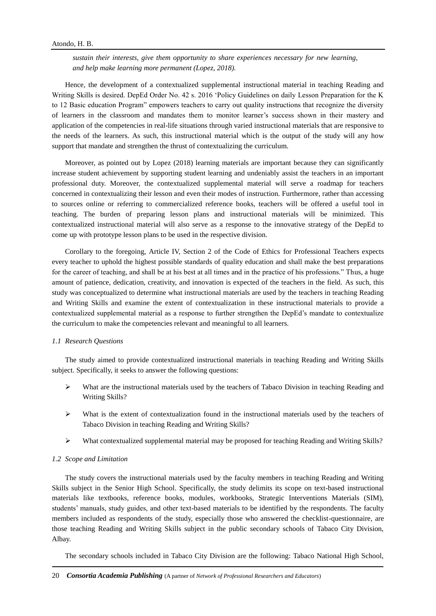*sustain their interests, give them opportunity to share experiences necessary for new learning, and help make learning more permanent (Lopez, 2018).*

Hence, the development of a contextualized supplemental instructional material in teaching Reading and Writing Skills is desired. DepEd Order No. 42 s. 2016 'Policy Guidelines on daily Lesson Preparation for the K to 12 Basic education Program" empowers teachers to carry out quality instructions that recognize the diversity of learners in the classroom and mandates them to monitor learner's success shown in their mastery and application of the competencies in real-life situations through varied instructional materials that are responsive to the needs of the learners. As such, this instructional material which is the output of the study will any how support that mandate and strengthen the thrust of contextualizing the curriculum.

Moreover, as pointed out by Lopez (2018) learning materials are important because they can significantly increase student achievement by supporting student learning and undeniably assist the teachers in an important professional duty. Moreover, the contextualized supplemental material will serve a roadmap for teachers concerned in contextualizing their lesson and even their modes of instruction. Furthermore, rather than accessing to sources online or referring to commercialized reference books, teachers will be offered a useful tool in teaching. The burden of preparing lesson plans and instructional materials will be minimized. This contextualized instructional material will also serve as a response to the innovative strategy of the DepEd to come up with prototype lesson plans to be used in the respective division.

Corollary to the foregoing, Article IV, Section 2 of the Code of Ethics for Professional Teachers expects every teacher to uphold the highest possible standards of quality education and shall make the best preparations for the career of teaching, and shall be at his best at all times and in the practice of his professions." Thus, a huge amount of patience, dedication, creativity, and innovation is expected of the teachers in the field. As such, this study was conceptualized to determine what instructional materials are used by the teachers in teaching Reading and Writing Skills and examine the extent of contextualization in these instructional materials to provide a contextualized supplemental material as a response to further strengthen the DepEd's mandate to contextualize the curriculum to make the competencies relevant and meaningful to all learners.

#### *1.1 Research Questions*

The study aimed to provide contextualized instructional materials in teaching Reading and Writing Skills subject. Specifically, it seeks to answer the following questions:

- $\triangleright$  What are the instructional materials used by the teachers of Tabaco Division in teaching Reading and Writing Skills?
- $\triangleright$  What is the extent of contextualization found in the instructional materials used by the teachers of Tabaco Division in teaching Reading and Writing Skills?
- $\triangleright$  What contextualized supplemental material may be proposed for teaching Reading and Writing Skills?

#### *1.2 Scope and Limitation*

The study covers the instructional materials used by the faculty members in teaching Reading and Writing Skills subject in the Senior High School. Specifically, the study delimits its scope on text-based instructional materials like textbooks, reference books, modules, workbooks, Strategic Interventions Materials (SIM), students' manuals, study guides, and other text-based materials to be identified by the respondents. The faculty members included as respondents of the study, especially those who answered the checklist-questionnaire, are those teaching Reading and Writing Skills subject in the public secondary schools of Tabaco City Division, Albay.

The secondary schools included in Tabaco City Division are the following: Tabaco National High School,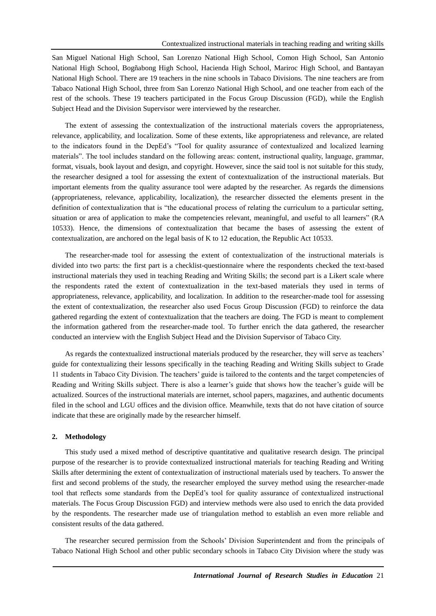San Miguel National High School, San Lorenzo National High School, Comon High School, San Antonio National High School, Bogñabong High School, Hacienda High School, Mariroc High School, and Bantayan National High School. There are 19 teachers in the nine schools in Tabaco Divisions. The nine teachers are from Tabaco National High School, three from San Lorenzo National High School, and one teacher from each of the rest of the schools. These 19 teachers participated in the Focus Group Discussion (FGD), while the English Subject Head and the Division Supervisor were interviewed by the researcher.

The extent of assessing the contextualization of the instructional materials covers the appropriateness, relevance, applicability, and localization. Some of these extents, like appropriateness and relevance, are related to the indicators found in the DepEd's "Tool for quality assurance of contextualized and localized learning materials". The tool includes standard on the following areas: content, instructional quality, language, grammar, format, visuals, book layout and design, and copyright. However, since the said tool is not suitable for this study, the researcher designed a tool for assessing the extent of contextualization of the instructional materials. But important elements from the quality assurance tool were adapted by the researcher. As regards the dimensions (appropriateness, relevance, applicability, localization), the researcher dissected the elements present in the definition of contextualization that is "the educational process of relating the curriculum to a particular setting, situation or area of application to make the competencies relevant, meaningful, and useful to all learners" (RA 10533). Hence, the dimensions of contextualization that became the bases of assessing the extent of contextualization, are anchored on the legal basis of K to 12 education, the Republic Act 10533.

The researcher-made tool for assessing the extent of contextualization of the instructional materials is divided into two parts: the first part is a checklist-questionnaire where the respondents checked the text-based instructional materials they used in teaching Reading and Writing Skills; the second part is a Likert scale where the respondents rated the extent of contextualization in the text-based materials they used in terms of appropriateness, relevance, applicability, and localization. In addition to the researcher-made tool for assessing the extent of contextualization, the researcher also used Focus Group Discussion (FGD) to reinforce the data gathered regarding the extent of contextualization that the teachers are doing. The FGD is meant to complement the information gathered from the researcher-made tool. To further enrich the data gathered, the researcher conducted an interview with the English Subject Head and the Division Supervisor of Tabaco City.

As regards the contextualized instructional materials produced by the researcher, they will serve as teachers' guide for contextualizing their lessons specifically in the teaching Reading and Writing Skills subject to Grade 11 students in Tabaco City Division. The teachers' guide is tailored to the contents and the target competencies of Reading and Writing Skills subject. There is also a learner's guide that shows how the teacher's guide will be actualized. Sources of the instructional materials are internet, school papers, magazines, and authentic documents filed in the school and LGU offices and the division office. Meanwhile, texts that do not have citation of source indicate that these are originally made by the researcher himself.

#### **2. Methodology**

This study used a mixed method of descriptive quantitative and qualitative research design. The principal purpose of the researcher is to provide contextualized instructional materials for teaching Reading and Writing Skills after determining the extent of contextualization of instructional materials used by teachers. To answer the first and second problems of the study, the researcher employed the survey method using the researcher-made tool that reflects some standards from the DepEd's tool for quality assurance of contextualized instructional materials. The Focus Group Discussion FGD) and interview methods were also used to enrich the data provided by the respondents. The researcher made use of triangulation method to establish an even more reliable and consistent results of the data gathered.

The researcher secured permission from the Schools' Division Superintendent and from the principals of Tabaco National High School and other public secondary schools in Tabaco City Division where the study was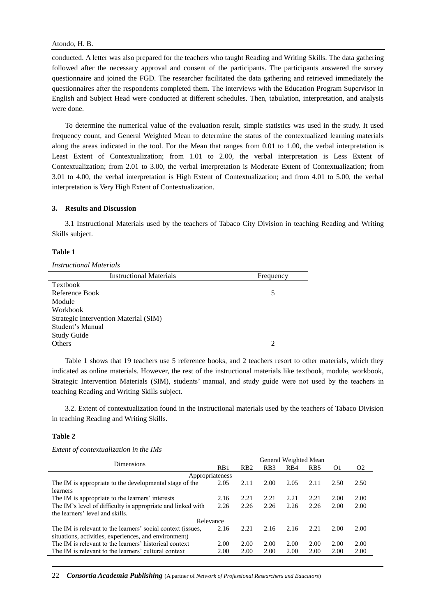conducted. A letter was also prepared for the teachers who taught Reading and Writing Skills. The data gathering followed after the necessary approval and consent of the participants. The participants answered the survey questionnaire and joined the FGD. The researcher facilitated the data gathering and retrieved immediately the questionnaires after the respondents completed them. The interviews with the Education Program Supervisor in English and Subject Head were conducted at different schedules. Then, tabulation, interpretation, and analysis were done.

To determine the numerical value of the evaluation result, simple statistics was used in the study. It used frequency count, and General Weighted Mean to determine the status of the contextualized learning materials along the areas indicated in the tool. For the Mean that ranges from 0.01 to 1.00, the verbal interpretation is Least Extent of Contextualization; from 1.01 to 2.00, the verbal interpretation is Less Extent of Contextualization; from 2.01 to 3.00, the verbal interpretation is Moderate Extent of Contextualization; from 3.01 to 4.00, the verbal interpretation is High Extent of Contextualization; and from 4.01 to 5.00, the verbal interpretation is Very High Extent of Contextualization.

## **3. Results and Discussion**

3.1 Instructional Materials used by the teachers of Tabaco City Division in teaching Reading and Writing Skills subject.

#### **Table 1**

*Instructional Materials*

| <b>Instructional Materials</b>        | Frequency |
|---------------------------------------|-----------|
| Textbook                              |           |
| Reference Book                        | 5         |
| Module                                |           |
| Workbook                              |           |
| Strategic Intervention Material (SIM) |           |
| Student's Manual                      |           |
| <b>Study Guide</b>                    |           |
| Others                                |           |

Table 1 shows that 19 teachers use 5 reference books, and 2 teachers resort to other materials, which they indicated as online materials. However, the rest of the instructional materials like textbook, module, workbook, Strategic Intervention Materials (SIM), students' manual, and study guide were not used by the teachers in teaching Reading and Writing Skills subject.

3.2. Extent of contextualization found in the instructional materials used by the teachers of Tabaco Division in teaching Reading and Writing Skills.

## **Table 2**

*Extent of contextualization in the IMs*

| Dimensions                                                  |      | General Weighted Mean |                  |                  |                 |      |                |  |  |
|-------------------------------------------------------------|------|-----------------------|------------------|------------------|-----------------|------|----------------|--|--|
|                                                             |      | R <sub>B</sub> 2      | R <sub>B</sub> 3 | R <sub>B</sub> 4 | R <sub>B5</sub> | O1   | O <sub>2</sub> |  |  |
| Appropriateness                                             |      |                       |                  |                  |                 |      |                |  |  |
| The IM is appropriate to the developmental stage of the     |      | 2.11                  | 2.00             | 2.05             | 2.11            | 2.50 | 2.50           |  |  |
| learners                                                    |      |                       |                  |                  |                 |      |                |  |  |
| The IM is appropriate to the learners' interests            |      | 2.21                  | 2.21             | 2.21             | 2.21            | 2.00 | 2.00           |  |  |
| The IM's level of difficulty is appropriate and linked with |      | 2.26                  | 2.26             | 2.26             | 2.26            | 2.00 | 2.00           |  |  |
| the learners' level and skills.                             |      |                       |                  |                  |                 |      |                |  |  |
| Relevance                                                   |      |                       |                  |                  |                 |      |                |  |  |
| The IM is relevant to the learners' social context (issues, | 2.16 | 2.21                  | 2.16             | 2.16             | 2.21            | 2.00 | 2.00           |  |  |
| situations, activities, experiences, and environment)       |      |                       |                  |                  |                 |      |                |  |  |
| The IM is relevant to the learners' historical context      |      | 2.00                  | 2.00             | 2.00             | 2.00            | 2.00 | 2.00           |  |  |
| The IM is relevant to the learners' cultural context        | 2.00 | 2.00                  | 2.00             | 2.00             | 2.00            | 2.00 | 2.00           |  |  |
|                                                             |      |                       |                  |                  |                 |      |                |  |  |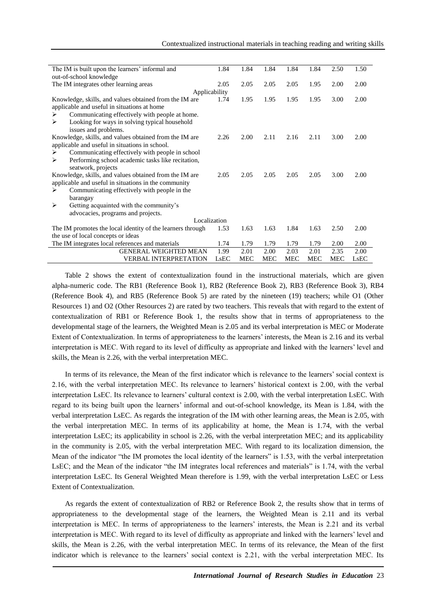| The IM is built upon the learners' informal and            |      | 1.84       | 1.84       | 1.84       | 1.84 | 2.50       | 1.50 |
|------------------------------------------------------------|------|------------|------------|------------|------|------------|------|
| out-of-school knowledge                                    |      |            |            |            |      |            |      |
| The IM integrates other learning areas                     | 2.05 | 2.05       | 2.05       | 2.05       | 1.95 | 2.00       | 2.00 |
| Applicability                                              |      |            |            |            |      |            |      |
| Knowledge, skills, and values obtained from the IM are.    |      | 1.95       | 1.95       | 1.95       | 1.95 | 3.00       | 2.00 |
| applicable and useful in situations at home                |      |            |            |            |      |            |      |
| Communicating effectively with people at home.<br>➤        |      |            |            |            |      |            |      |
| Looking for ways in solving typical household<br>➤         |      |            |            |            |      |            |      |
| issues and problems.                                       |      |            |            |            |      |            |      |
| Knowledge, skills, and values obtained from the IM are.    | 2.26 | 2.00       | 2.11       | 2.16       | 2.11 | 3.00       | 2.00 |
| applicable and useful in situations in school.             |      |            |            |            |      |            |      |
| Communicating effectively with people in school<br>➤       |      |            |            |            |      |            |      |
| Performing school academic tasks like recitation,<br>➤     |      |            |            |            |      |            |      |
| seatwork, projects                                         |      |            |            |            |      |            |      |
| Knowledge, skills, and values obtained from the IM are     |      | 2.05       | 2.05       | 2.05       | 2.05 | 3.00       | 2.00 |
| applicable and useful in situations in the community       |      |            |            |            |      |            |      |
| Communicating effectively with people in the<br>➤          |      |            |            |            |      |            |      |
| barangay                                                   |      |            |            |            |      |            |      |
| Getting acquainted with the community's<br>➤               |      |            |            |            |      |            |      |
| advocacies, programs and projects.                         |      |            |            |            |      |            |      |
| Localization                                               |      |            |            |            |      |            |      |
| The IM promotes the local identity of the learners through | 1.53 | 1.63       | 1.63       | 1.84       | 1.63 | 2.50       | 2.00 |
| the use of local concepts or ideas                         |      |            |            |            |      |            |      |
| The IM integrates local references and materials           | 1.74 | 1.79       | 1.79       | 1.79       | 1.79 | 2.00       | 2.00 |
| <b>GENERAL WEIGHTED MEAN</b>                               | 1.99 | 2.01       | 2.00       | 2.03       | 2.01 | 2.35       | 2.00 |
| <b>VERBAL INTERPRETATION</b>                               | LsEC | <b>MEC</b> | <b>MEC</b> | <b>MEC</b> | MEC  | <b>MEC</b> | LsEC |

Table 2 shows the extent of contextualization found in the instructional materials, which are given alpha-numeric code. The RB1 (Reference Book 1), RB2 (Reference Book 2), RB3 (Reference Book 3), RB4 (Reference Book 4), and RB5 (Reference Book 5) are rated by the nineteen (19) teachers; while O1 (Other Resources 1) and O2 (Other Resources 2) are rated by two teachers. This reveals that with regard to the extent of contextualization of RB1 or Reference Book 1, the results show that in terms of appropriateness to the developmental stage of the learners, the Weighted Mean is 2.05 and its verbal interpretation is MEC or Moderate Extent of Contextualization. In terms of appropriateness to the learners' interests, the Mean is 2.16 and its verbal interpretation is MEC. With regard to its level of difficulty as appropriate and linked with the learners' level and skills, the Mean is 2.26, with the verbal interpretation MEC.

In terms of its relevance, the Mean of the first indicator which is relevance to the learners' social context is 2.16, with the verbal interpretation MEC. Its relevance to learners' historical context is 2.00, with the verbal interpretation LsEC. Its relevance to learners' cultural context is 2.00, with the verbal interpretation LsEC. With regard to its being built upon the learners' informal and out-of-school knowledge, its Mean is 1.84, with the verbal interpretation LsEC. As regards the integration of the IM with other learning areas, the Mean is 2.05, with the verbal interpretation MEC. In terms of its applicability at home, the Mean is 1.74, with the verbal interpretation LsEC; its applicability in school is 2.26, with the verbal interpretation MEC; and its applicability in the community is 2.05, with the verbal interpretation MEC. With regard to its localization dimension, the Mean of the indicator "the IM promotes the local identity of the learners" is 1.53, with the verbal interpretation LsEC; and the Mean of the indicator "the IM integrates local references and materials" is 1.74, with the verbal interpretation LsEC. Its General Weighted Mean therefore is 1.99, with the verbal interpretation LsEC or Less Extent of Contextualization.

As regards the extent of contextualization of RB2 or Reference Book 2, the results show that in terms of appropriateness to the developmental stage of the learners, the Weighted Mean is 2.11 and its verbal interpretation is MEC. In terms of appropriateness to the learners' interests, the Mean is 2.21 and its verbal interpretation is MEC. With regard to its level of difficulty as appropriate and linked with the learners' level and skills, the Mean is 2.26, with the verbal interpretation MEC. In terms of its relevance, the Mean of the first indicator which is relevance to the learners' social context is 2.21, with the verbal interpretation MEC. Its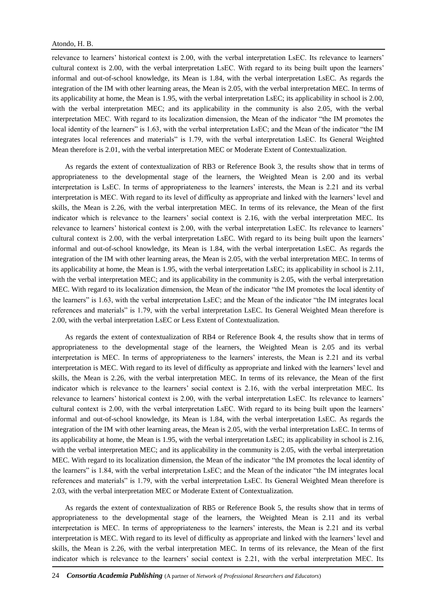relevance to learners' historical context is 2.00, with the verbal interpretation LsEC. Its relevance to learners' cultural context is 2.00, with the verbal interpretation LsEC. With regard to its being built upon the learners' informal and out-of-school knowledge, its Mean is 1.84, with the verbal interpretation LsEC. As regards the integration of the IM with other learning areas, the Mean is 2.05, with the verbal interpretation MEC. In terms of its applicability at home, the Mean is 1.95, with the verbal interpretation LsEC; its applicability in school is 2.00, with the verbal interpretation MEC; and its applicability in the community is also 2.05, with the verbal interpretation MEC. With regard to its localization dimension, the Mean of the indicator "the IM promotes the local identity of the learners" is 1.63, with the verbal interpretation LsEC; and the Mean of the indicator "the IM integrates local references and materials" is 1.79, with the verbal interpretation LsEC. Its General Weighted Mean therefore is 2.01, with the verbal interpretation MEC or Moderate Extent of Contextualization.

As regards the extent of contextualization of RB3 or Reference Book 3, the results show that in terms of appropriateness to the developmental stage of the learners, the Weighted Mean is 2.00 and its verbal interpretation is LsEC. In terms of appropriateness to the learners' interests, the Mean is 2.21 and its verbal interpretation is MEC. With regard to its level of difficulty as appropriate and linked with the learners' level and skills, the Mean is 2.26, with the verbal interpretation MEC. In terms of its relevance, the Mean of the first indicator which is relevance to the learners' social context is 2.16, with the verbal interpretation MEC. Its relevance to learners' historical context is 2.00, with the verbal interpretation LsEC. Its relevance to learners' cultural context is 2.00, with the verbal interpretation LsEC. With regard to its being built upon the learners' informal and out-of-school knowledge, its Mean is 1.84, with the verbal interpretation LsEC. As regards the integration of the IM with other learning areas, the Mean is 2.05, with the verbal interpretation MEC. In terms of its applicability at home, the Mean is 1.95, with the verbal interpretation LsEC; its applicability in school is 2.11, with the verbal interpretation MEC; and its applicability in the community is 2.05, with the verbal interpretation MEC. With regard to its localization dimension, the Mean of the indicator "the IM promotes the local identity of the learners" is 1.63, with the verbal interpretation LsEC; and the Mean of the indicator "the IM integrates local references and materials" is 1.79, with the verbal interpretation LsEC. Its General Weighted Mean therefore is 2.00, with the verbal interpretation LsEC or Less Extent of Contextualization.

As regards the extent of contextualization of RB4 or Reference Book 4, the results show that in terms of appropriateness to the developmental stage of the learners, the Weighted Mean is 2.05 and its verbal interpretation is MEC. In terms of appropriateness to the learners' interests, the Mean is 2.21 and its verbal interpretation is MEC. With regard to its level of difficulty as appropriate and linked with the learners' level and skills, the Mean is 2.26, with the verbal interpretation MEC. In terms of its relevance, the Mean of the first indicator which is relevance to the learners' social context is 2.16, with the verbal interpretation MEC. Its relevance to learners' historical context is 2.00, with the verbal interpretation LsEC. Its relevance to learners' cultural context is 2.00, with the verbal interpretation LsEC. With regard to its being built upon the learners' informal and out-of-school knowledge, its Mean is 1.84, with the verbal interpretation LsEC. As regards the integration of the IM with other learning areas, the Mean is 2.05, with the verbal interpretation LsEC. In terms of its applicability at home, the Mean is 1.95, with the verbal interpretation LsEC; its applicability in school is 2.16, with the verbal interpretation MEC; and its applicability in the community is 2.05, with the verbal interpretation MEC. With regard to its localization dimension, the Mean of the indicator "the IM promotes the local identity of the learners" is 1.84, with the verbal interpretation LsEC; and the Mean of the indicator "the IM integrates local references and materials" is 1.79, with the verbal interpretation LsEC. Its General Weighted Mean therefore is 2.03, with the verbal interpretation MEC or Moderate Extent of Contextualization.

As regards the extent of contextualization of RB5 or Reference Book 5, the results show that in terms of appropriateness to the developmental stage of the learners, the Weighted Mean is 2.11 and its verbal interpretation is MEC. In terms of appropriateness to the learners' interests, the Mean is 2.21 and its verbal interpretation is MEC. With regard to its level of difficulty as appropriate and linked with the learners' level and skills, the Mean is 2.26, with the verbal interpretation MEC. In terms of its relevance, the Mean of the first indicator which is relevance to the learners' social context is 2.21, with the verbal interpretation MEC. Its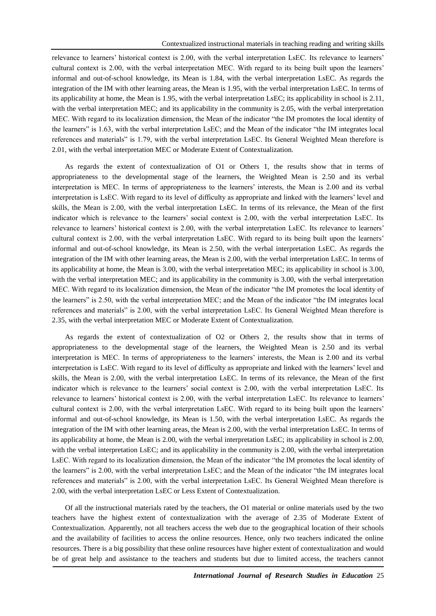relevance to learners' historical context is 2.00, with the verbal interpretation LsEC. Its relevance to learners' cultural context is 2.00, with the verbal interpretation MEC. With regard to its being built upon the learners' informal and out-of-school knowledge, its Mean is 1.84, with the verbal interpretation LsEC. As regards the integration of the IM with other learning areas, the Mean is 1.95, with the verbal interpretation LsEC. In terms of its applicability at home, the Mean is 1.95, with the verbal interpretation LsEC; its applicability in school is 2.11, with the verbal interpretation MEC; and its applicability in the community is 2.05, with the verbal interpretation MEC. With regard to its localization dimension, the Mean of the indicator "the IM promotes the local identity of the learners" is 1.63, with the verbal interpretation LsEC; and the Mean of the indicator "the IM integrates local references and materials" is 1.79, with the verbal interpretation LsEC. Its General Weighted Mean therefore is 2.01, with the verbal interpretation MEC or Moderate Extent of Contextualization.

As regards the extent of contextualization of O1 or Others 1, the results show that in terms of appropriateness to the developmental stage of the learners, the Weighted Mean is 2.50 and its verbal interpretation is MEC. In terms of appropriateness to the learners' interests, the Mean is 2.00 and its verbal interpretation is LsEC. With regard to its level of difficulty as appropriate and linked with the learners' level and skills, the Mean is 2.00, with the verbal interpretation LsEC. In terms of its relevance, the Mean of the first indicator which is relevance to the learners' social context is 2.00, with the verbal interpretation LsEC. Its relevance to learners' historical context is 2.00, with the verbal interpretation LsEC. Its relevance to learners' cultural context is 2.00, with the verbal interpretation LsEC. With regard to its being built upon the learners' informal and out-of-school knowledge, its Mean is 2.50, with the verbal interpretation LsEC. As regards the integration of the IM with other learning areas, the Mean is 2.00, with the verbal interpretation LsEC. In terms of its applicability at home, the Mean is 3.00, with the verbal interpretation MEC; its applicability in school is 3.00, with the verbal interpretation MEC; and its applicability in the community is 3.00, with the verbal interpretation MEC. With regard to its localization dimension, the Mean of the indicator "the IM promotes the local identity of the learners" is 2.50, with the verbal interpretation MEC; and the Mean of the indicator "the IM integrates local references and materials" is 2.00, with the verbal interpretation LsEC. Its General Weighted Mean therefore is 2.35, with the verbal interpretation MEC or Moderate Extent of Contextualization.

As regards the extent of contextualization of O2 or Others 2, the results show that in terms of appropriateness to the developmental stage of the learners, the Weighted Mean is 2.50 and its verbal interpretation is MEC. In terms of appropriateness to the learners' interests, the Mean is 2.00 and its verbal interpretation is LsEC. With regard to its level of difficulty as appropriate and linked with the learners' level and skills, the Mean is 2.00, with the verbal interpretation LsEC. In terms of its relevance, the Mean of the first indicator which is relevance to the learners' social context is 2.00, with the verbal interpretation LsEC. Its relevance to learners' historical context is 2.00, with the verbal interpretation LsEC. Its relevance to learners' cultural context is 2.00, with the verbal interpretation LsEC. With regard to its being built upon the learners' informal and out-of-school knowledge, its Mean is 1.50, with the verbal interpretation LsEC. As regards the integration of the IM with other learning areas, the Mean is 2.00, with the verbal interpretation LsEC. In terms of its applicability at home, the Mean is 2.00, with the verbal interpretation LsEC; its applicability in school is 2.00, with the verbal interpretation LsEC; and its applicability in the community is 2.00, with the verbal interpretation LsEC. With regard to its localization dimension, the Mean of the indicator "the IM promotes the local identity of the learners" is 2.00, with the verbal interpretation LsEC; and the Mean of the indicator "the IM integrates local references and materials" is 2.00, with the verbal interpretation LsEC. Its General Weighted Mean therefore is 2.00, with the verbal interpretation LsEC or Less Extent of Contextualization.

Of all the instructional materials rated by the teachers, the O1 material or online materials used by the two teachers have the highest extent of contextualization with the average of 2.35 of Moderate Extent of Contextualization. Apparently, not all teachers access the web due to the geographical location of their schools and the availability of facilities to access the online resources. Hence, only two teachers indicated the online resources. There is a big possibility that these online resources have higher extent of contextualization and would be of great help and assistance to the teachers and students but due to limited access, the teachers cannot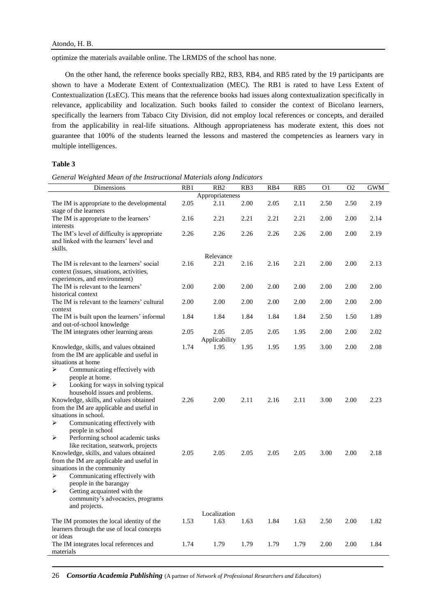optimize the materials available online. The LRMDS of the school has none.

On the other hand, the reference books specially RB2, RB3, RB4, and RB5 rated by the 19 participants are shown to have a Moderate Extent of Contextualization (MEC). The RB1 is rated to have Less Extent of Contextualization (LsEC). This means that the reference books had issues along contextualization specifically in relevance, applicability and localization. Such books failed to consider the context of Bicolano learners, specifically the learners from Tabaco City Division, did not employ local references or concepts, and derailed from the applicability in real-life situations. Although appropriateness has moderate extent, this does not guarantee that 100% of the students learned the lessons and mastered the competencies as learners vary in multiple intelligences.

## **Table 3**

*General Weighted Mean of the Instructional Materials along Indicators*

| Dimensions                                                                                                                                                                                                                                                                                                                                                                                                                                                                                                                                                                                                                                                                                          | RB1          | R <sub>B</sub> 2             | RB3          | RB4          | RB5          | O <sub>1</sub> | O2           | GWM          |
|-----------------------------------------------------------------------------------------------------------------------------------------------------------------------------------------------------------------------------------------------------------------------------------------------------------------------------------------------------------------------------------------------------------------------------------------------------------------------------------------------------------------------------------------------------------------------------------------------------------------------------------------------------------------------------------------------------|--------------|------------------------------|--------------|--------------|--------------|----------------|--------------|--------------|
|                                                                                                                                                                                                                                                                                                                                                                                                                                                                                                                                                                                                                                                                                                     |              | Appropriateness              |              |              |              |                |              |              |
| The IM is appropriate to the developmental<br>stage of the learners                                                                                                                                                                                                                                                                                                                                                                                                                                                                                                                                                                                                                                 | 2.05         | 2.11                         | 2.00         | 2.05         | 2.11         | 2.50           | 2.50         | 2.19         |
| The IM is appropriate to the learners'<br>interests                                                                                                                                                                                                                                                                                                                                                                                                                                                                                                                                                                                                                                                 | 2.16         | 2.21                         | 2.21         | 2.21         | 2.21         | 2.00           | 2.00         | 2.14         |
| The IM's level of difficulty is appropriate<br>and linked with the learners' level and<br>skills.                                                                                                                                                                                                                                                                                                                                                                                                                                                                                                                                                                                                   | 2.26         | 2.26                         | 2.26         | 2.26         | 2.26         | 2.00           | 2.00         | 2.19         |
|                                                                                                                                                                                                                                                                                                                                                                                                                                                                                                                                                                                                                                                                                                     |              | Relevance                    |              |              |              |                |              |              |
| The IM is relevant to the learners' social<br>context (issues, situations, activities,<br>experiences, and environment)                                                                                                                                                                                                                                                                                                                                                                                                                                                                                                                                                                             | 2.16         | 2.21                         | 2.16         | 2.16         | 2.21         | 2.00           | 2.00         | 2.13         |
| The IM is relevant to the learners'<br>historical context                                                                                                                                                                                                                                                                                                                                                                                                                                                                                                                                                                                                                                           | 2.00         | 2.00                         | 2.00         | 2.00         | 2.00         | 2.00           | 2.00         | 2.00         |
| The IM is relevant to the learners' cultural<br>context                                                                                                                                                                                                                                                                                                                                                                                                                                                                                                                                                                                                                                             | 2.00         | 2.00                         | 2.00         | 2.00         | 2.00         | 2.00           | 2.00         | 2.00         |
| The IM is built upon the learners' informal                                                                                                                                                                                                                                                                                                                                                                                                                                                                                                                                                                                                                                                         | 1.84         | 1.84                         | 1.84         | 1.84         | 1.84         | 2.50           | 1.50         | 1.89         |
| and out-of-school knowledge<br>The IM integrates other learning areas                                                                                                                                                                                                                                                                                                                                                                                                                                                                                                                                                                                                                               | 2.05         | 2.05                         | 2.05         | 2.05         | 1.95         | 2.00           | 2.00         | 2.02         |
| Knowledge, skills, and values obtained<br>from the IM are applicable and useful in                                                                                                                                                                                                                                                                                                                                                                                                                                                                                                                                                                                                                  | 1.74         | Applicability<br>1.95        | 1.95         | 1.95         | 1.95         | 3.00           | 2.00         | 2.08         |
| situations at home<br>Communicating effectively with<br>➤<br>people at home.<br>Looking for ways in solving typical<br>➤<br>household issues and problems.<br>Knowledge, skills, and values obtained<br>from the IM are applicable and useful in<br>situations in school.<br>Communicating effectively with<br>⋗<br>people in school<br>Performing school academic tasks<br>➤<br>like recitation, seatwork, projects<br>Knowledge, skills, and values obtained<br>from the IM are applicable and useful in<br>situations in the community<br>Communicating effectively with<br>➤<br>people in the barangay<br>➤<br>Getting acquainted with the<br>community's advocacies, programs<br>and projects. | 2.26<br>2.05 | 2.00<br>2.05<br>Localization | 2.11<br>2.05 | 2.16<br>2.05 | 2.11<br>2.05 | 3.00<br>3.00   | 2.00<br>2.00 | 2.23<br>2.18 |
| The IM promotes the local identity of the<br>learners through the use of local concepts                                                                                                                                                                                                                                                                                                                                                                                                                                                                                                                                                                                                             | 1.53         | 1.63                         | 1.63         | 1.84         | 1.63         | 2.50           | 2.00         | 1.82         |
| or ideas<br>The IM integrates local references and<br>materials                                                                                                                                                                                                                                                                                                                                                                                                                                                                                                                                                                                                                                     | 1.74         | 1.79                         | 1.79         | 1.79         | 1.79         | 2.00           | 2.00         | 1.84         |

26 *Consortia Academia Publishing* (A partner of *Network of Professional Researchers and Educators*)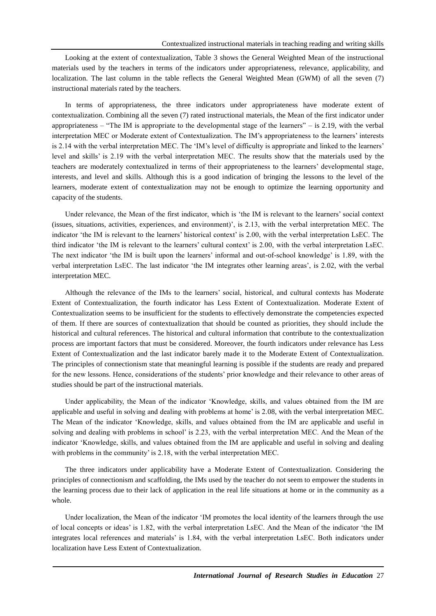Looking at the extent of contextualization, Table 3 shows the General Weighted Mean of the instructional materials used by the teachers in terms of the indicators under appropriateness, relevance, applicability, and localization. The last column in the table reflects the General Weighted Mean (GWM) of all the seven (7) instructional materials rated by the teachers.

In terms of appropriateness, the three indicators under appropriateness have moderate extent of contextualization. Combining all the seven (7) rated instructional materials, the Mean of the first indicator under appropriateness – "The IM is appropriate to the developmental stage of the learners" – is 2.19, with the verbal interpretation MEC or Moderate extent of Contextualization. The IM's appropriateness to the learners' interests is 2.14 with the verbal interpretation MEC. The 'IM's level of difficulty is appropriate and linked to the learners' level and skills' is 2.19 with the verbal interpretation MEC. The results show that the materials used by the teachers are moderately contextualized in terms of their appropriateness to the learners' developmental stage, interests, and level and skills. Although this is a good indication of bringing the lessons to the level of the learners, moderate extent of contextualization may not be enough to optimize the learning opportunity and capacity of the students.

Under relevance, the Mean of the first indicator, which is 'the IM is relevant to the learners' social context (issues, situations, activities, experiences, and environment)', is 2.13, with the verbal interpretation MEC. The indicator 'the IM is relevant to the learners' historical context' is 2.00, with the verbal interpretation LsEC. The third indicator 'the IM is relevant to the learners' cultural context' is 2.00, with the verbal interpretation LsEC. The next indicator 'the IM is built upon the learners' informal and out-of-school knowledge' is 1.89, with the verbal interpretation LsEC. The last indicator 'the IM integrates other learning areas', is 2.02, with the verbal interpretation MEC.

Although the relevance of the IMs to the learners' social, historical, and cultural contexts has Moderate Extent of Contextualization, the fourth indicator has Less Extent of Contextualization. Moderate Extent of Contextualization seems to be insufficient for the students to effectively demonstrate the competencies expected of them. If there are sources of contextualization that should be counted as priorities, they should include the historical and cultural references. The historical and cultural information that contribute to the contextualization process are important factors that must be considered. Moreover, the fourth indicators under relevance has Less Extent of Contextualization and the last indicator barely made it to the Moderate Extent of Contextualization. The principles of connectionism state that meaningful learning is possible if the students are ready and prepared for the new lessons. Hence, considerations of the students' prior knowledge and their relevance to other areas of studies should be part of the instructional materials.

Under applicability, the Mean of the indicator 'Knowledge, skills, and values obtained from the IM are applicable and useful in solving and dealing with problems at home' is 2.08, with the verbal interpretation MEC. The Mean of the indicator 'Knowledge, skills, and values obtained from the IM are applicable and useful in solving and dealing with problems in school' is 2.23, with the verbal interpretation MEC. And the Mean of the indicator 'Knowledge, skills, and values obtained from the IM are applicable and useful in solving and dealing with problems in the community' is 2.18, with the verbal interpretation MEC.

The three indicators under applicability have a Moderate Extent of Contextualization. Considering the principles of connectionism and scaffolding, the IMs used by the teacher do not seem to empower the students in the learning process due to their lack of application in the real life situations at home or in the community as a whole.

Under localization, the Mean of the indicator 'IM promotes the local identity of the learners through the use of local concepts or ideas' is 1.82, with the verbal interpretation LsEC. And the Mean of the indicator 'the IM integrates local references and materials' is 1.84, with the verbal interpretation LsEC. Both indicators under localization have Less Extent of Contextualization.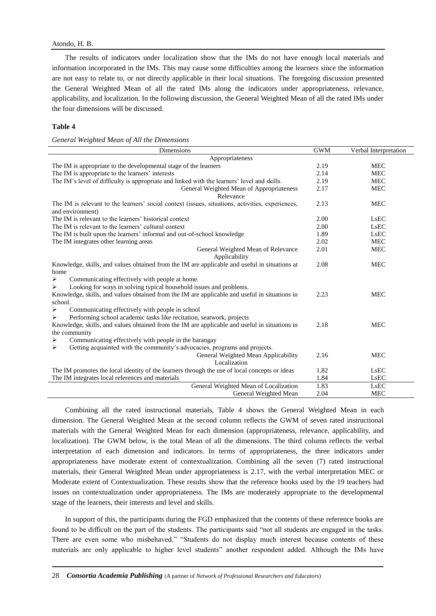#### Atondo, H. B.

The results of indicators under localization show that the IMs do not have enough local materials and information incorporated in the IMs. This may cause some difficulties among the learners since the information are not easy to relate to, or not directly applicable in their local situations. The foregoing discussion presented the General Weighted Mean of all the rated IMs along the indicators under appropriateness, relevance, applicability, and localization. In the following discussion, the General Weighted Mean of all the rated IMs under the four dimensions will be discussed.

#### **Table 4**

*General Weighted Mean of All the Dimensions*

| <b>Dimensions</b>                                                                                                    | <b>GWM</b> | Verbal Interpretation |  |  |  |  |
|----------------------------------------------------------------------------------------------------------------------|------------|-----------------------|--|--|--|--|
| Appropriateness                                                                                                      |            |                       |  |  |  |  |
| The IM is appropriate to the developmental stage of the learners                                                     | 2.19       | <b>MEC</b>            |  |  |  |  |
| The IM is appropriate to the learners' interests                                                                     | 2.14       | <b>MEC</b>            |  |  |  |  |
| The IM's level of difficulty is appropriate and linked with the learners' level and skills.                          | 2.19       | <b>MEC</b>            |  |  |  |  |
| General Weighted Mean of Appropriateness                                                                             | 2.17       | <b>MEC</b>            |  |  |  |  |
| Relevance                                                                                                            |            |                       |  |  |  |  |
| The IM is relevant to the learners' social context (issues, situations, activities, experiences,<br>and environment) | 2.13       | <b>MEC</b>            |  |  |  |  |
| The IM is relevant to the learners' historical context                                                               | 2.00       | <b>LsEC</b>           |  |  |  |  |
| The IM is relevant to the learners' cultural context                                                                 | 2.00       | LsEC                  |  |  |  |  |
| The IM is built upon the learners' informal and out-of-school knowledge                                              | 1.89       | LsEC                  |  |  |  |  |
| The IM integrates other learning areas                                                                               | 2.02       | <b>MEC</b>            |  |  |  |  |
| General Weighted Mean of Relevance<br>Applicability                                                                  | 2.01       | <b>MEC</b>            |  |  |  |  |
| Knowledge, skills, and values obtained from the IM are applicable and useful in situations at<br>home                | 2.08       | <b>MEC</b>            |  |  |  |  |
| ⋗<br>Communicating effectively with people at home.                                                                  |            |                       |  |  |  |  |
| Looking for ways in solving typical household issues and problems.<br>⋗                                              |            |                       |  |  |  |  |
| Knowledge, skills, and values obtained from the IM are applicable and useful in situations in                        | 2.23       | <b>MEC</b>            |  |  |  |  |
| school.                                                                                                              |            |                       |  |  |  |  |
| Communicating effectively with people in school<br>➤                                                                 |            |                       |  |  |  |  |
| Performing school academic tasks like recitation, seatwork, projects                                                 |            |                       |  |  |  |  |
| Knowledge, skills, and values obtained from the IM are applicable and useful in situations in                        | 2.18       | <b>MEC</b>            |  |  |  |  |
| the community                                                                                                        |            |                       |  |  |  |  |
| Communicating effectively with people in the barangay<br>➤                                                           |            |                       |  |  |  |  |
| Getting acquainted with the community's advocacies, programs and projects.<br>⋗                                      |            |                       |  |  |  |  |
| General Weighted Mean Applicability                                                                                  | 2.16       | <b>MEC</b>            |  |  |  |  |
| Localization                                                                                                         |            |                       |  |  |  |  |
| The IM promotes the local identity of the learners through the use of local concepts or ideas                        | 1.82       | LsEC                  |  |  |  |  |
| The IM integrates local references and materials                                                                     | 1.84       | LsEC                  |  |  |  |  |
| General Weighted Mean of Localization                                                                                | 1.83       | LsEC                  |  |  |  |  |
| General Weighted Mean                                                                                                | 2.04       | <b>MEC</b>            |  |  |  |  |

Combining all the rated instructional materials, Table 4 shows the General Weighted Mean in each dimension. The General Weighted Mean at the second column reflects the GWM of seven rated instructional materials with the General Weighted Mean for each dimension (appropriateness, relevance, applicability, and localization). The GWM below, is the total Mean of all the dimensions. The third column reflects the verbal interpretation of each dimension and indicators. In terms of appropriateness, the three indicators under appropriateness have moderate extent of contextualization. Combining all the seven (7) rated instructional materials, their General Weighted Mean under appropriateness is 2.17, with the verbal interpretation MEC or Moderate extent of Contextualization. These results show that the reference books used by the 19 teachers had issues on contextualization under appropriateness. The IMs are moderately appropriate to the developmental stage of the learners, their interests and level and skills.

In support of this, the participants during the FGD emphasized that the contents of these reference books are found to be difficult on the part of the students. The participants said "not all students are engaged in the tasks. There are even some who misbehaved." "Students do not display much interest because contents of these materials are only applicable to higher level students" another respondent added. Although the IMs have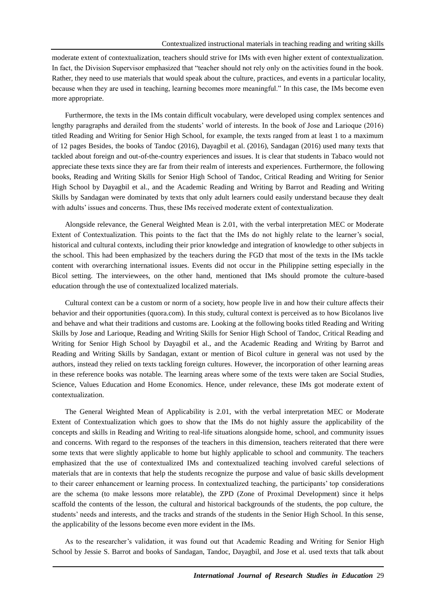moderate extent of contextualization, teachers should strive for IMs with even higher extent of contextualization. In fact, the Division Supervisor emphasized that "teacher should not rely only on the activities found in the book. Rather, they need to use materials that would speak about the culture, practices, and events in a particular locality, because when they are used in teaching, learning becomes more meaningful." In this case, the IMs become even more appropriate.

Furthermore, the texts in the IMs contain difficult vocabulary, were developed using complex sentences and lengthy paragraphs and derailed from the students' world of interests. In the book of Jose and Larioque (2016) titled Reading and Writing for Senior High School, for example, the texts ranged from at least 1 to a maximum of 12 pages Besides, the books of Tandoc (2016), Dayagbil et al. (2016), Sandagan (2016) used many texts that tackled about foreign and out-of-the-country experiences and issues. It is clear that students in Tabaco would not appreciate these texts since they are far from their realm of interests and experiences. Furthermore, the following books, Reading and Writing Skills for Senior High School of Tandoc, Critical Reading and Writing for Senior High School by Dayagbil et al., and the Academic Reading and Writing by Barrot and Reading and Writing Skills by Sandagan were dominated by texts that only adult learners could easily understand because they dealt with adults' issues and concerns. Thus, these IMs received moderate extent of contextualization.

Alongside relevance, the General Weighted Mean is 2.01, with the verbal interpretation MEC or Moderate Extent of Contextualization. This points to the fact that the IMs do not highly relate to the learner's social, historical and cultural contexts, including their prior knowledge and integration of knowledge to other subjects in the school. This had been emphasized by the teachers during the FGD that most of the texts in the IMs tackle content with overarching international issues. Events did not occur in the Philippine setting especially in the Bicol setting. The interviewees, on the other hand, mentioned that IMs should promote the culture-based education through the use of contextualized localized materials.

Cultural context can be a custom or norm of a society, how people live in and how their culture affects their behavior and their opportunities (quora.com). In this study, cultural context is perceived as to how Bicolanos live and behave and what their traditions and customs are. Looking at the following books titled Reading and Writing Skills by Jose and Larioque, Reading and Writing Skills for Senior High School of Tandoc, Critical Reading and Writing for Senior High School by Dayagbil et al., and the Academic Reading and Writing by Barrot and Reading and Writing Skills by Sandagan, extant or mention of Bicol culture in general was not used by the authors, instead they relied on texts tackling foreign cultures. However, the incorporation of other learning areas in these reference books was notable. The learning areas where some of the texts were taken are Social Studies, Science, Values Education and Home Economics. Hence, under relevance, these IMs got moderate extent of contextualization.

The General Weighted Mean of Applicability is 2.01, with the verbal interpretation MEC or Moderate Extent of Contextualization which goes to show that the IMs do not highly assure the applicability of the concepts and skills in Reading and Writing to real-life situations alongside home, school, and community issues and concerns. With regard to the responses of the teachers in this dimension, teachers reiterated that there were some texts that were slightly applicable to home but highly applicable to school and community. The teachers emphasized that the use of contextualized IMs and contextualized teaching involved careful selections of materials that are in contexts that help the students recognize the purpose and value of basic skills development to their career enhancement or learning process. In contextualized teaching, the participants' top considerations are the schema (to make lessons more relatable), the ZPD (Zone of Proximal Development) since it helps scaffold the contents of the lesson, the cultural and historical backgrounds of the students, the pop culture, the students' needs and interests, and the tracks and strands of the students in the Senior High School. In this sense, the applicability of the lessons become even more evident in the IMs.

As to the researcher's validation, it was found out that Academic Reading and Writing for Senior High School by Jessie S. Barrot and books of Sandagan, Tandoc, Dayagbil, and Jose et al. used texts that talk about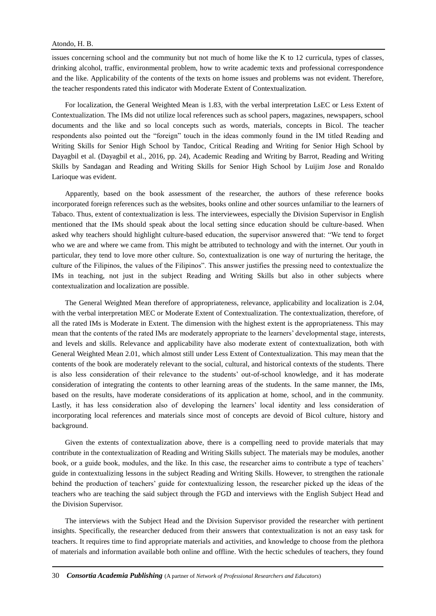issues concerning school and the community but not much of home like the K to 12 curricula, types of classes, drinking alcohol, traffic, environmental problem, how to write academic texts and professional correspondence and the like. Applicability of the contents of the texts on home issues and problems was not evident. Therefore, the teacher respondents rated this indicator with Moderate Extent of Contextualization.

For localization, the General Weighted Mean is 1.83, with the verbal interpretation LsEC or Less Extent of Contextualization. The IMs did not utilize local references such as school papers, magazines, newspapers, school documents and the like and so local concepts such as words, materials, concepts in Bicol. The teacher respondents also pointed out the "foreign" touch in the ideas commonly found in the IM titled Reading and Writing Skills for Senior High School by Tandoc, Critical Reading and Writing for Senior High School by Dayagbil et al. (Dayagbil et al., 2016, pp. 24), Academic Reading and Writing by Barrot, Reading and Writing Skills by Sandagan and Reading and Writing Skills for Senior High School by Luijim Jose and Ronaldo Larioque was evident.

Apparently, based on the book assessment of the researcher, the authors of these reference books incorporated foreign references such as the websites, books online and other sources unfamiliar to the learners of Tabaco. Thus, extent of contextualization is less. The interviewees, especially the Division Supervisor in English mentioned that the IMs should speak about the local setting since education should be culture-based. When asked why teachers should highlight culture-based education, the supervisor answered that: "We tend to forget who we are and where we came from. This might be attributed to technology and with the internet. Our youth in particular, they tend to love more other culture. So, contextualization is one way of nurturing the heritage, the culture of the Filipinos, the values of the Filipinos". This answer justifies the pressing need to contextualize the IMs in teaching, not just in the subject Reading and Writing Skills but also in other subjects where contextualization and localization are possible.

The General Weighted Mean therefore of appropriateness, relevance, applicability and localization is 2.04, with the verbal interpretation MEC or Moderate Extent of Contextualization. The contextualization, therefore, of all the rated IMs is Moderate in Extent. The dimension with the highest extent is the appropriateness. This may mean that the contents of the rated IMs are moderately appropriate to the learners' developmental stage, interests, and levels and skills. Relevance and applicability have also moderate extent of contextualization, both with General Weighted Mean 2.01, which almost still under Less Extent of Contextualization. This may mean that the contents of the book are moderately relevant to the social, cultural, and historical contexts of the students. There is also less consideration of their relevance to the students' out-of-school knowledge, and it has moderate consideration of integrating the contents to other learning areas of the students. In the same manner, the IMs, based on the results, have moderate considerations of its application at home, school, and in the community. Lastly, it has less consideration also of developing the learners' local identity and less consideration of incorporating local references and materials since most of concepts are devoid of Bicol culture, history and background.

Given the extents of contextualization above, there is a compelling need to provide materials that may contribute in the contextualization of Reading and Writing Skills subject. The materials may be modules, another book, or a guide book, modules, and the like. In this case, the researcher aims to contribute a type of teachers' guide in contextualizing lessons in the subject Reading and Writing Skills. However, to strengthen the rationale behind the production of teachers' guide for contextualizing lesson, the researcher picked up the ideas of the teachers who are teaching the said subject through the FGD and interviews with the English Subject Head and the Division Supervisor.

The interviews with the Subject Head and the Division Supervisor provided the researcher with pertinent insights. Specifically, the researcher deduced from their answers that contextualization is not an easy task for teachers. It requires time to find appropriate materials and activities, and knowledge to choose from the plethora of materials and information available both online and offline. With the hectic schedules of teachers, they found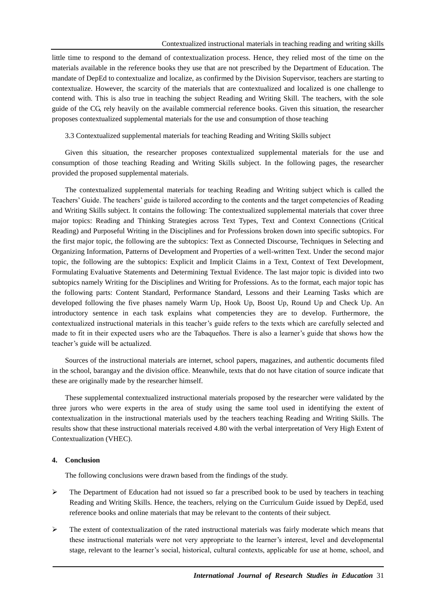little time to respond to the demand of contextualization process. Hence, they relied most of the time on the materials available in the reference books they use that are not prescribed by the Department of Education. The mandate of DepEd to contextualize and localize, as confirmed by the Division Supervisor, teachers are starting to contextualize. However, the scarcity of the materials that are contextualized and localized is one challenge to contend with. This is also true in teaching the subject Reading and Writing Skill. The teachers, with the sole guide of the CG, rely heavily on the available commercial reference books. Given this situation, the researcher proposes contextualized supplemental materials for the use and consumption of those teaching

3.3 Contextualized supplemental materials for teaching Reading and Writing Skills subject

Given this situation, the researcher proposes contextualized supplemental materials for the use and consumption of those teaching Reading and Writing Skills subject. In the following pages, the researcher provided the proposed supplemental materials.

The contextualized supplemental materials for teaching Reading and Writing subject which is called the Teachers' Guide. The teachers' guide is tailored according to the contents and the target competencies of Reading and Writing Skills subject. It contains the following: The contextualized supplemental materials that cover three major topics: Reading and Thinking Strategies across Text Types, Text and Context Connections (Critical Reading) and Purposeful Writing in the Disciplines and for Professions broken down into specific subtopics. For the first major topic, the following are the subtopics: Text as Connected Discourse, Techniques in Selecting and Organizing Information, Patterns of Development and Properties of a well-written Text. Under the second major topic, the following are the subtopics: Explicit and Implicit Claims in a Text, Context of Text Development, Formulating Evaluative Statements and Determining Textual Evidence. The last major topic is divided into two subtopics namely Writing for the Disciplines and Writing for Professions. As to the format, each major topic has the following parts: Content Standard, Performance Standard, Lessons and their Learning Tasks which are developed following the five phases namely Warm Up, Hook Up, Boost Up, Round Up and Check Up. An introductory sentence in each task explains what competencies they are to develop. Furthermore, the contextualized instructional materials in this teacher's guide refers to the texts which are carefully selected and made to fit in their expected users who are the Tabaqueños. There is also a learner's guide that shows how the teacher's guide will be actualized.

Sources of the instructional materials are internet, school papers, magazines, and authentic documents filed in the school, barangay and the division office. Meanwhile, texts that do not have citation of source indicate that these are originally made by the researcher himself.

These supplemental contextualized instructional materials proposed by the researcher were validated by the three jurors who were experts in the area of study using the same tool used in identifying the extent of contextualization in the instructional materials used by the teachers teaching Reading and Writing Skills. The results show that these instructional materials received 4.80 with the verbal interpretation of Very High Extent of Contextualization (VHEC).

## **4. Conclusion**

The following conclusions were drawn based from the findings of the study.

- $\triangleright$  The Department of Education had not issued so far a prescribed book to be used by teachers in teaching Reading and Writing Skills. Hence, the teachers, relying on the Curriculum Guide issued by DepEd, used reference books and online materials that may be relevant to the contents of their subject.
- $\triangleright$  The extent of contextualization of the rated instructional materials was fairly moderate which means that these instructional materials were not very appropriate to the learner's interest, level and developmental stage, relevant to the learner's social, historical, cultural contexts, applicable for use at home, school, and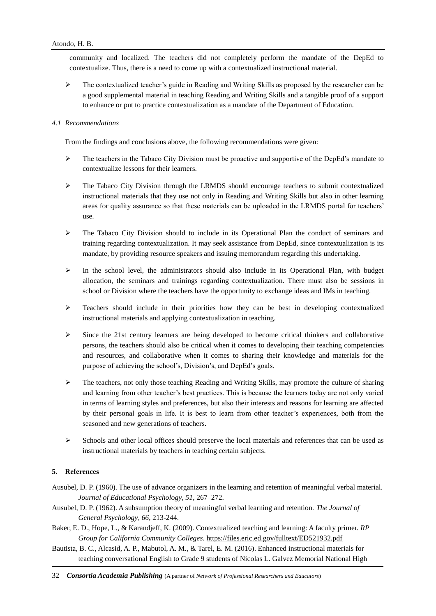community and localized. The teachers did not completely perform the mandate of the DepEd to contextualize. Thus, there is a need to come up with a contextualized instructional material.

 $\triangleright$  The contextualized teacher's guide in Reading and Writing Skills as proposed by the researcher can be a good supplemental material in teaching Reading and Writing Skills and a tangible proof of a support to enhance or put to practice contextualization as a mandate of the Department of Education.

## *4.1 Recommendations*

From the findings and conclusions above, the following recommendations were given:

- $\triangleright$  The teachers in the Tabaco City Division must be proactive and supportive of the DepEd's mandate to contextualize lessons for their learners.
- $\triangleright$  The Tabaco City Division through the LRMDS should encourage teachers to submit contextualized instructional materials that they use not only in Reading and Writing Skills but also in other learning areas for quality assurance so that these materials can be uploaded in the LRMDS portal for teachers' use.
- $\triangleright$  The Tabaco City Division should to include in its Operational Plan the conduct of seminars and training regarding contextualization. It may seek assistance from DepEd, since contextualization is its mandate, by providing resource speakers and issuing memorandum regarding this undertaking.
- $\triangleright$  In the school level, the administrators should also include in its Operational Plan, with budget allocation, the seminars and trainings regarding contextualization. There must also be sessions in school or Division where the teachers have the opportunity to exchange ideas and IMs in teaching.
- > Teachers should include in their priorities how they can be best in developing contextualized instructional materials and applying contextualization in teaching.
- $\triangleright$  Since the 21st century learners are being developed to become critical thinkers and collaborative persons, the teachers should also be critical when it comes to developing their teaching competencies and resources, and collaborative when it comes to sharing their knowledge and materials for the purpose of achieving the school's, Division's, and DepEd's goals.
- $\triangleright$  The teachers, not only those teaching Reading and Writing Skills, may promote the culture of sharing and learning from other teacher's best practices. This is because the learners today are not only varied in terms of learning styles and preferences, but also their interests and reasons for learning are affected by their personal goals in life. It is best to learn from other teacher's experiences, both from the seasoned and new generations of teachers.
- Schools and other local offices should preserve the local materials and references that can be used as instructional materials by teachers in teaching certain subjects.

## **5. References**

- Ausubel, D. P. (1960). The use of advance organizers in the learning and retention of meaningful verbal material. *Journal of Educational Psychology*, *51*, 267–272.
- Ausubel, D. P. (1962). A subsumption theory of meaningful verbal learning and retention. *The Journal of General Psychology*, *66*, 213-244.
- Baker, E. D., Hope, L., & Karandjeff, K. (2009). Contextualized teaching and learning: A faculty primer. *RP Group for California Community Colleges*.<https://files.eric.ed.gov/fulltext/ED521932.pdf>
- Bautista, B. C., Alcasid, A. P., Mabutol, A. M., & Tarel, E. M. (2016). Enhanced instructional materials for teaching conversational English to Grade 9 students of Nicolas L. Galvez Memorial National High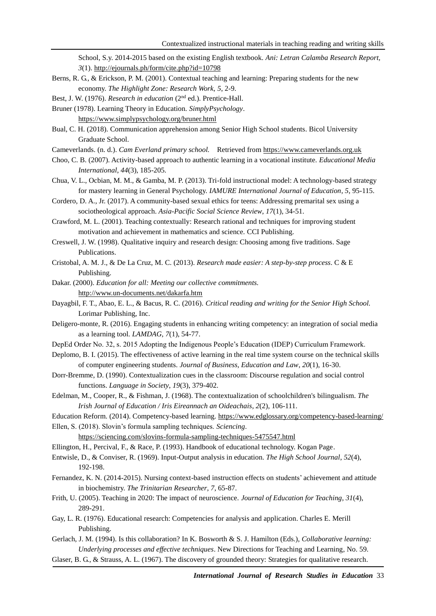School, S.y. 2014-2015 based on the existing English textbook. *Ani: Letran Calamba Research Report, 3*(1)[. http://ejournals.ph/form/cite.php?id=10798](http://ejournals.ph/form/cite.php?id=10798)

- Berns, R. G., & Erickson, P. M. (2001). Contextual teaching and learning: Preparing students for the new economy. *The Highlight Zone: Research Work, 5*, 2-9.
- Best, J. W. (1976). *Research in education* (2<sup>nd</sup> ed.). Prentice-Hall.
- Bruner (1978). Learning Theory in Education. *SimplyPsychology*. <https://www.simplypsychology.org/bruner.html>
- Bual, C. H. (2018). Communication apprehension among Senior High School students. Bicol University Graduate School.
- Cameverlands. (n. d.). *Cam Everland primary school.* Retrieved fro[m https://www.cameverlands.org.uk](https://www.cameverlands.org.uk/)
- Choo, C. B. (2007). Activity-based approach to authentic learning in a vocational institute. *Educational Media International*, *44*(3), 185-205.
- Chua, V. L., Ocbian, M. M., & Gamba, M. P. (2013). Tri-fold instructional model: A technology-based strategy for mastery learning in General Psychology. *IAMURE International Journal of Education*, *5*, 95-115.
- Cordero, D. A., Jr. (2017). A community-based sexual ethics for teens: Addressing premarital sex using a sociotheological approach. *Asia-Pacific Social Science Review*, *17*(1), 34-51.
- Crawford, M. L. (2001). Teaching contextually: Research rational and techniques for improving student motivation and achievement in mathematics and science. CCI Publishing.
- Creswell, J. W. (1998). Qualitative inquiry and research design: Choosing among five traditions. Sage Publications.
- Cristobal, A. M. J., & De La Cruz, M. C. (2013). *Research made easier: A step-by-step process*. C & E Publishing.
- Dakar. (2000). *Education for all: Meeting our collective commitments.* <http://www.un-documents.net/dakarfa.htm>
- Dayagbil, F. T., Abao, E. L., & Bacus, R. C. (2016). *Critical reading and writing for the Senior High School.* Lorimar Publishing, Inc.
- Deligero-monte, R. (2016). Engaging students in enhancing writing competency: an integration of social media as a learning tool. *LAMDAG*, *7*(1), 54-77.
- DepEd Order No. 32, s. 2015 Adopting the Indigenous People's Education (IDEP) Curriculum Framework.
- Deplomo, B. I. (2015). The effectiveness of active learning in the real time system course on the technical skills of computer engineering students. *Journal of Business, Education and Law*, *20*(1), 16-30.
- Dorr-Bremme, D. (1990). Contextualization cues in the classroom: Discourse regulation and social control functions. *Language in Society*, *19*(3), 379-402.
- Edelman, M., Cooper, R., & Fishman, J. (1968). The contextualization of schoolchildren's bilingualism. *The Irish Journal of Education / Iris Eireannach an Oideachais*, *2*(2), 106-111.
- Education Reform. (2014). Competency-based learning.<https://www.edglossary.org/competency-based-learning/>

Ellen, S. (2018). Slovin's formula sampling techniques. *Sciencing*.

<https://sciencing.com/slovins-formula-sampling-techniques-5475547.html>

- Ellington, H., Percival, F., & Race, P. (1993). Handbook of educational technology. Kogan Page.
- Entwisle, D., & Conviser, R. (1969). Input-Output analysis in education. *The High School Journal*, *52*(4), 192-198.
- Fernandez, K. N. (2014-2015). Nursing context-based instruction effects on students' achievement and attitude in biochemistry. *The Trinitarian Researcher*, *7*, 65-87.
- Frith, U. (2005). Teaching in 2020: The impact of neuroscience. *Journal of Education for Teaching*, *31*(4), 289-291.
- Gay, L. R. (1976). Educational research: Competencies for analysis and application. Charles E. Merill Publishing.
- Gerlach, J. M. (1994). Is this collaboration? In K. Bosworth & S. J. Hamilton (Eds.), *Collaborative learning: Underlying processes and effective techniques*. New Directions for Teaching and Learning, No. 59.
- Glaser, B. G., & Strauss, A. L. (1967). The discovery of grounded theory: Strategies for qualitative research.